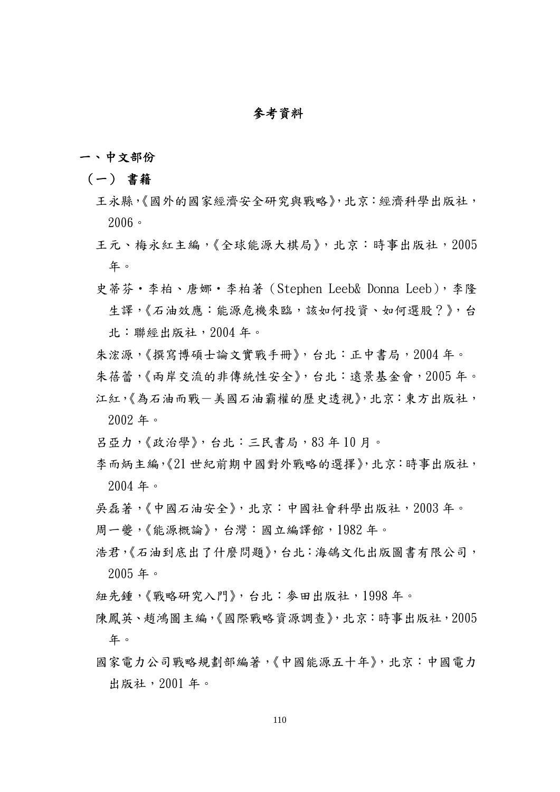### 參考資料

### 一、中文部份

### (一) 書籍

- 王永縣,《國外的國家經濟安全研究與戰略》,北京:經濟科學出版社, 2006。
- 王元、梅永紅主編,《全球能源大棋局》,北京:時事出版社,2005 年。
- 史蒂芬‧李柏、唐娜‧李柏著(Stephen Leeb& Donna Leeb),李隆 生譯,《石油效應:能源危機來臨,該如何投資、如何選股?》,台 北:聯經出版社,2004 年。
- 朱浤源,《撰寫博碩士論文實戰手冊》,台北:正中書局,2004 年。
- 朱蓓蕾,《兩岸交流的非傳統性安全》,台北:遠景基金會,2005 年。
- 江紅,《為石油而戰一美國石油霸權的歷史透視》,北京:東方出版社, 2002 年。
- 呂亞力,《政治學》,台北:三民書局,83 年 10 月。
- 李而炳主編,《21 世紀前期中國對外戰略的選擇》,北京:時事出版社, 2004 年。
- 吳磊著,《中國石油安全》,北京:中國社會科學出版社,2003 年。
- 周一夔,《能源概論》,台灣:國立編譯館,1982 年。
- 浩君,《石油到底出了什麼問題》,台北:海鴿文化出版圖書有限公司, 2005 年。
- 紐先鍾,《戰略研究入門》,台北:麥田出版社,1998 年。
- 陳鳳英、趙鴻圖主編,《國際戰略資源調查》,北京:時事出版社,2005 年。
- 國家電力公司戰略規劃部編著,《中國能源五十年》,北京:中國電力 出版社,2001 年。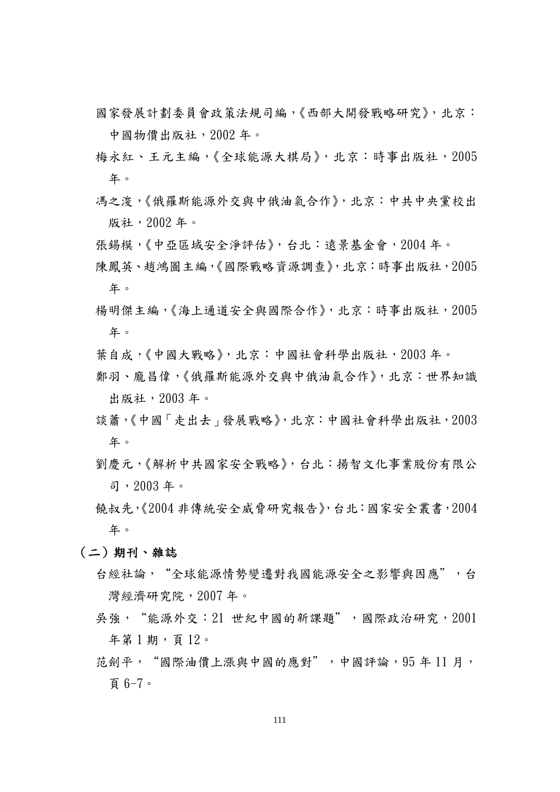- 國家發展計劃委員會政策法規司編,《西部大開發戰略研究》,北京: 中國物價出版社,2002 年。
- 梅永紅、王元主編,《全球能源大棋局》,北京:時事出版社,2005 年。
- 馮之浚,《俄羅斯能源外交與中俄油氣合作》,北京:中共中央黨校出 版社,2002 年。
- 張錫模,《中亞區域安全淨評估》,台北:遠景基金會,2004 年。
- 陳鳳英、趙鴻圖主編,《國際戰略資源調查》,北京:時事出版社,2005 年。
- 楊明傑主編,《海上通道安全與國際合作》,北京:時事出版社,2005 年。
- 葉自成,《中國大戰略》,北京:中國社會科學出版社,2003 年。
- 鄭羽、龐昌偉,《俄羅斯能源外交與中俄油氣合作》,北京:世界知識 出版社,2003 年。
- 談蕭,《中國「走出去」發展戰略》,北京:中國社會科學出版社,2003 年。
- 劉慶元,《解析中共國家安全戰略》,台北:揚智文化事業股份有限公 司,2003 年。
- 饒叔先,《2004 非傳統安全威脅研究報告》,台北:國家安全叢書,2004 年。
- (二)期刊、雜誌
	- 台經社論, "全球能源情勢變遷對我國能源安全之影響與因應",台 灣經濟研究院,2007 年。
	- 吳強, "能源外交: 21 世紀中國的新課題",國際政治研究, 2001 年第 1 期,頁 12。
	- 范劍平, "國際油價上漲與中國的應對",中國評論, 95年 11 月, 頁 6-7。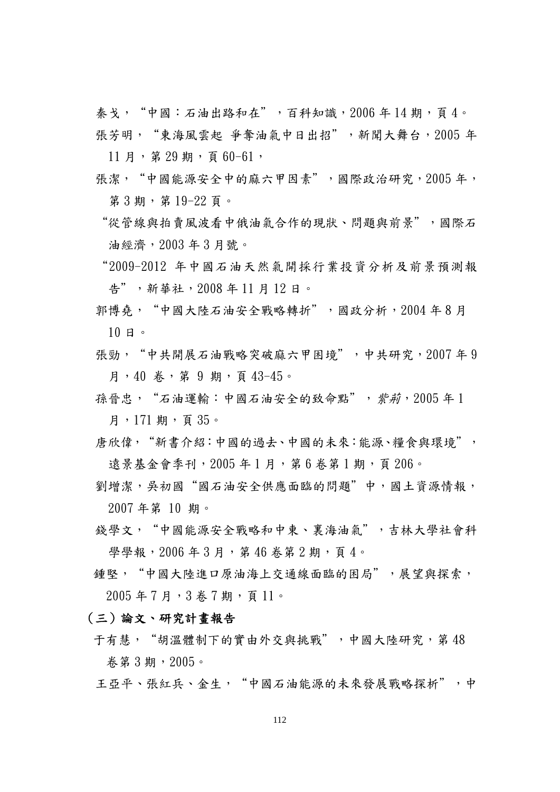秦戈, "中國:石油出路和在",百科知識,2006年14期,頁4。 張芳明, "東海風雲起 爭奪油氣中日出招", 新聞大舞台, 2005 年

 $11$  月, 第 29 期, 頁 60-61,

- 張潔, "中國能源安全中的麻六甲因素",國際政治研究, 2005年, 第 3 期,第 19-22 頁。
- "從管線與拍賣風波看中俄油氣合作的現狀、問題與前景",國際石 油經濟,2003 年 3 月號。
- "2009-2012 年中國石油天然氣開採行業投資分析及前景預測報 告",新華社,2008 年 11 月 12 日。
- 郭博堯, "中國大陸石油安全戰略轉折",國政分析, 2004年8月 10 日。
- 張勁, "中共開展石油戰略突破麻六甲困境",中共研究, 2007年 9 月,40 卷,第 9 期,頁 43-45。
- 孫晉忠, "石油運輸:中國石油安全的致命點", 紫莉, 2005年1 月, 171 期, 頁 35。
- 唐欣偉,"新書介紹:中國的過去、中國的未來:能源、糧食與環境", 遠景基金會季刊, 2005年1月, 第6卷第1期, 頁 206。
- 劉增潔,吳初國"國石油安全供應面臨的問題"中,國土資源情報, 2007 年第 10 期。
- 錢學文,"中國能源安全戰略和中東、裏海油氣",吉林大學社會科 學學報, 2006年3月, 第46 卷第2期, 頁4。
- 鍾堅, "中國大陸進口原油海上交通線面臨的困局",展望與探索, 2005 年 7 月,3 卷 7 期,頁 11。

(三)論文、研究計畫報告

干有慧, "胡溫體制下的實由外交與挑戰",中國大陸研究,第48 卷第 3 期,2005。

王亞平、張紅兵、金生, "中國石油能源的未來發展戰略探析",中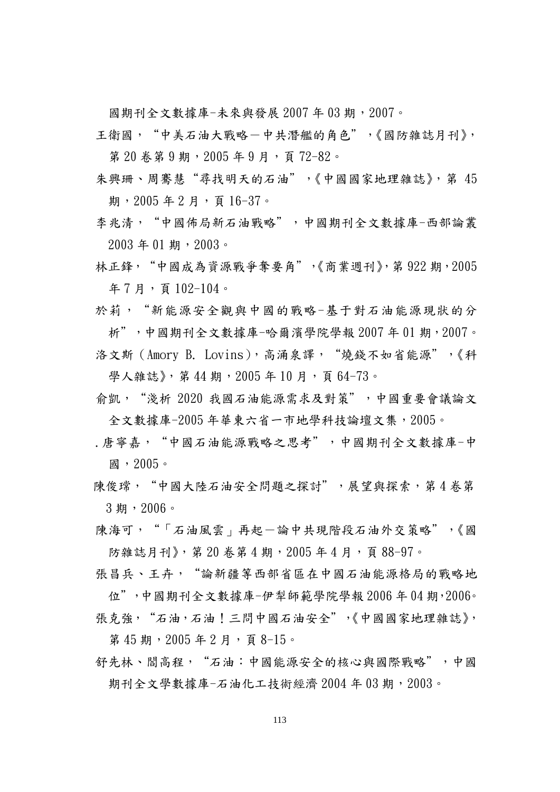國期刊全文數據庫-未來與發展 2007 年 03 期,2007。

- 王衛國, "中美石油大戰略一中共潛艦的角色",《國防雜誌月刊》, 第 20 卷第 9 期, 2005 年 9 月, 頁 72-82。
- 朱興珊、周騫慧"尋找明天的石油",《中國國家地理雜誌》,第 45 期, 2005年2月, 百16-37。
- 李兆清, "中國佈局新石油戰略",中國期刊全文數據庫-西部論叢  $2003 \n401$  期, 2003。
- 林正鋒, "中國成為資源戰爭奪要角",《商業週刊》,第 922 期, 2005 年 7 月,頁 102-104。
- 於莉, "新能源安全觀與中國的戰略-基于對石油能源現狀的分 析",中國期刊全文數據庫-哈爾濱學院學報 2007 年 01 期,2007。
- 洛文斯(Amory B. Lovins),高涌泉譯, "燒錢不如省能源",《科 學人雜誌》, 第 44 期, 2005年10月, 頁 64-73。
- 俞凱,"淺析 2020 我國石油能源需求及對策",中國重要會議論文 全文數據庫-2005年華東六省一市地學科技論壇文集,2005。
- .唐寧嘉,"中國石油能源戰略之思考",中國期刊全文數據庫-中 國,2005。
- 陳俊瑺, "中國大陸石油安全問題之探討",展望與探索,第4卷第 3 期,2006。
- 陳海可, "「石油風雲」再起一論中共現階段石油外交策略",《國 防雜誌月刊》, 第 20 卷第 4 期, 2005 年 4 月, 頁 88-97。
- 張昌兵、王卉, "論新疆等西部省區在中國石油能源格局的戰略地 位",中國期刊全文數據庫-伊犁師範學院學報 2006年 04 期, 2006。
- 張克強, "石油,石油!三問中國石油安全",《中國國家地理雜誌》,

第45期, 2005年2月, 頁8-15。

舒先林、閻高程, "石油:中國能源安全的核心與國際戰略",中國 期刊全文學數據庫-石油化工技術經濟 2004年03期, 2003。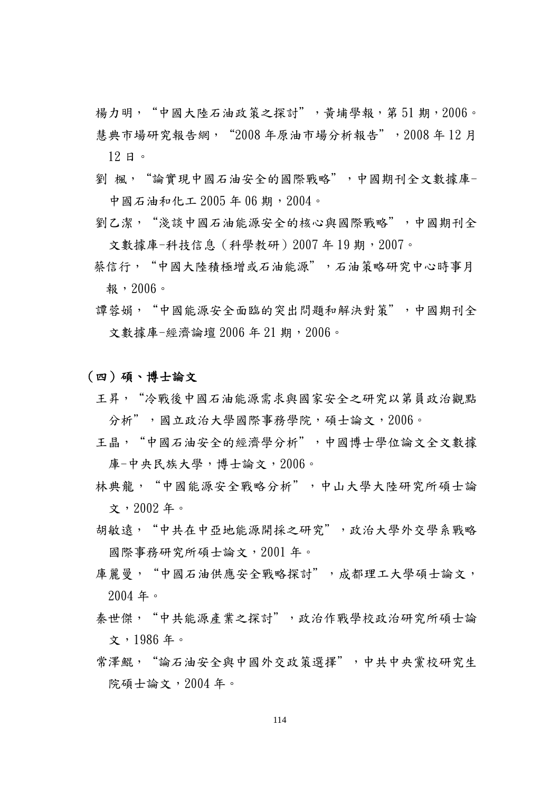楊力明, "中國大陸石油政策之探討", 黃埔學報, 第 51 期, 2006。 慧典市場研究報告網,"2008 年原油市場分析報告",2008 年 12 月 12 日。

- 劉 楓, "論實現中國石油安全的國際戰略",中國期刊全文數據庫-中國石油和化工 2005 年 06 期,2004。
- 劉乙潔, "淺談中國石油能源安全的核心與國際戰略",中國期刊全 文數據庫-科技信息(科學教研)2007年19期,2007。
- 蔡信行, "中國大陸積極增或石油能源", 石油策略研究中心時事月 報,2006。
- 譚蓉娟, "中國能源安全面臨的突出問題和解決對策",中國期刊全 文數據庫-經濟論壇 2006年 21 期, 2006。

#### (四)碩、博士論文

- 王昇, "冷戰後中國石油能源需求與國家安全之研究以第員政治觀點 分析",國立政治大學國際事務學院,碩士論文,2006。
- 王晶, "中國石油安全的經濟學分析",中國博士學位論文全文數據 庫-中央民族大學,博士論文,2006。
- 林典龍, "中國能源安全戰略分析",中山大學大陸研究所碩士論 文,2002 年。
- 胡敏遠, "中共在中亞地能源開採之研究",政治大學外交學系戰略 國際事務研究所碩士論文,2001 年。
- 庫麗曼, "中國石油供應安全戰略探討", 成都理工大學碩士論文, 2004 年。
- 秦世傑,"中共能源產業之探討",政治作戰學校政治研究所碩士論 文,1986 年。
- 常澤鯤, "論石油安全與中國外交政策選擇",中共中央黨校研究生 院碩士論文,2004 年。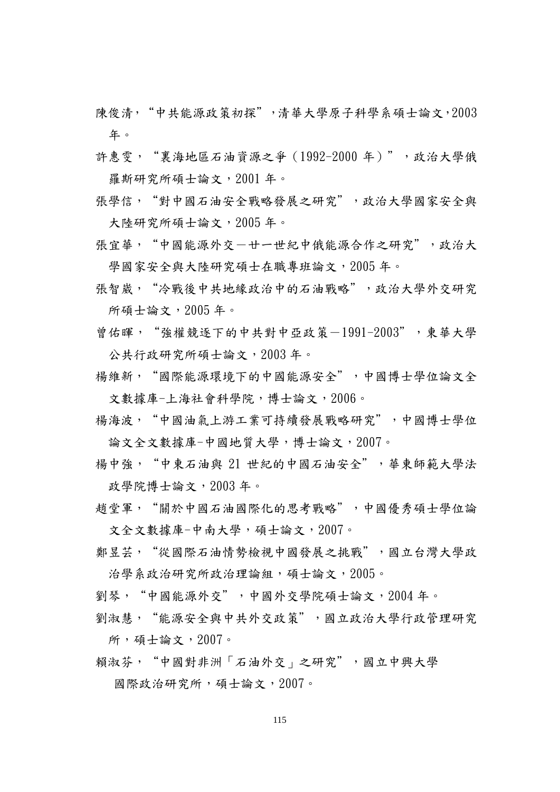陳俊清,"中共能源政策初探",清華大學原子科學系碩士論文,2003 年。

- 許惠雯, "裏海地區石油資源之爭 (1992-2000 年)",政治大學俄 羅斯研究所碩士論文,2001 年。
- 張學信, "對中國石油安全戰略發展之研究",政治大學國家安全與 大陸研究所碩士論文,2005 年。
- 張宜華, "中國能源外交一廿一世紀中俄能源合作之研究",政治大 學國家安全與大陸研究碩士在職專班論文, 2005年。
- 張智崴, "冷戰後中共地緣政治中的石油戰略",政治大學外交研究 所碩士論文,2005 年。
- 曾佑暉, "強權競逐下的中共對中亞政策-1991-2003",東華大學 公共行政研究所碩士論文,2003 年。
- 揚維新, "國際能源環境下的中國能源安全",中國博士學位論文全 文數據庫-上海社會科學院,博士論文,2006。
- 楊海波,"中國油氣上游工業可持續發展戰略研究",中國博士學位 論文全文數據庫-中國地質大學,博士論文,2007。
- 揚中強, "中東石油與 21 世紀的中國石油安全", 華東師範大學法 政學院博士論文,2003年。
- 趙堂軍,"關於中國石油國際化的思考戰略",中國優秀碩士學位論 文全文數據庫-中南大學,碩士論文,2007。
- 鄭昱芸, "從國際石油情勢檢視中國發展之挑戰",國立台灣大學政 治學系政治研究所政治理論組,碩士論文, 2005。
- 劉琴,"中國能源外交",中國外交學院碩士論文,2004 年。
- 劉淑慧, "能源安全與中共外交政策",國立政治大學行政管理研究 所,碩士論文,2007。
- 賴淑芬, "中國對非洲「石油外交」之研究",國立中興大學 國際政治研究所,碩士論文,2007。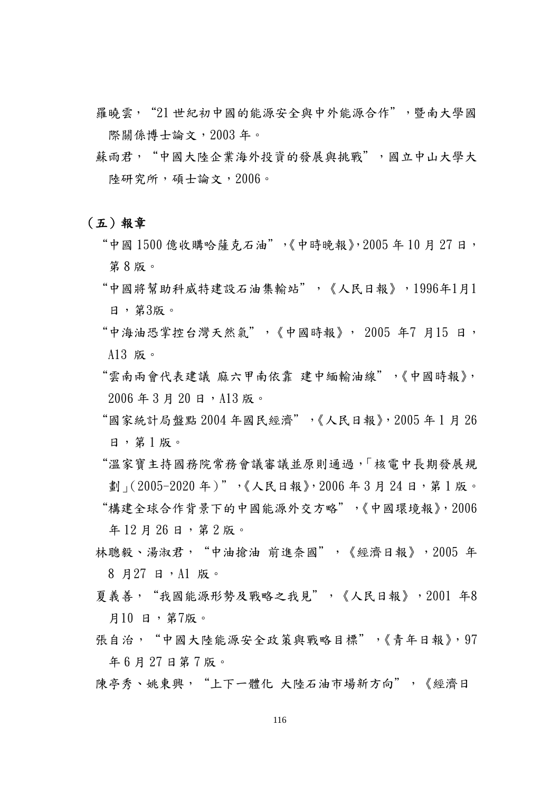- 羅曉雲, "21 世紀初中國的能源安全與中外能源合作", 暨南大學國 際關係博士論文,2003 年。
- 蘇雨君, "中國大陸企業海外投資的發展與挑戰",國立中山大學大 陸研究所,碩士論文,2006。

#### (五)報章

- "中國 1500 億收購哈薩克石油",《中時晚報》, 2005 年 10 月 27 日, 第 8 版。
- "中國將幫助科威特建設石油集輸站",《人民日報》,1996年1月1 日,第3版。
- "中海油恐掌控台灣天然氣",《中國時報》, 2005 年7 月15 日, A13 版。
- "雲南兩會代表建議 麻六甲南依靠 建中緬輸油線",《中國時報》,  $2006$  年 3 月 20 日, A13 版。
- "國家統計局盤點 2004 年國民經濟",《人民日報》,2005 年 1 月 26 日,第 1 版。
- "溫家寶主持國務院常務會議審議並原則通過,「核電中長期發展規 劃」(2005-2020年)",《人民日報》,2006年3月24日,第1版。 "構建全球合作背景下的中國能源外交方略",《中國環境報》,2006 年 12 月 26 日,第 2 版。
- 林聰毅、湯淑君, "中油搶油 前進奈國", 《經濟日報》, 2005 年 8 月27 日,A1 版。
- 夏義善,"我國能源形勢及戰略之我見",《人民日報》,2001 年8 月10 日,第7版。
- 張自治, "中國大陸能源安全政策與戰略目標",《青年日報》, 97 年 6 月 27 日第 7 版。
- 陳亭秀、姚東興, "上下一體化 大陸石油市場新方向",《經濟日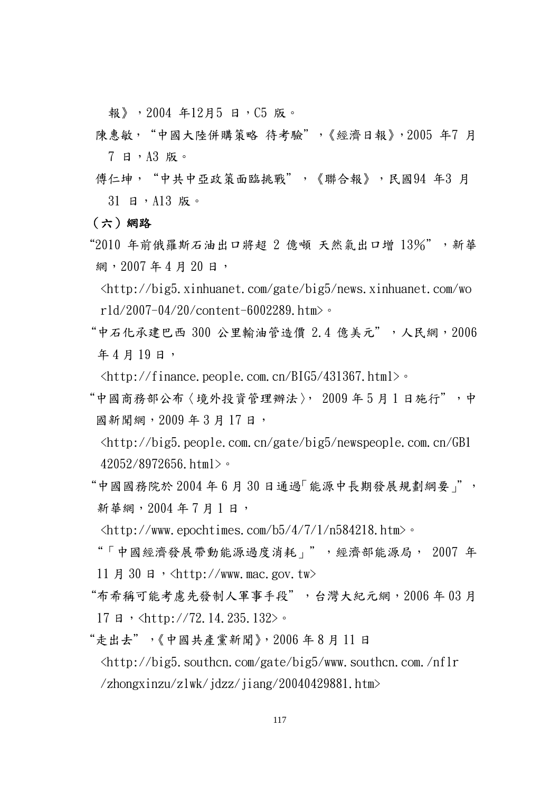報》,2004 年12月5 日,C5 版。

- 陳惠敏, "中國大陸併購策略 待考驗",《經濟日報》,2005 年7 月 7 日,A3 版。
- 傳仁坤, "中共中亞政策面臨挑戰",《聯合報》,民國94 年3 月 31 日,A13 版。

(六)網路

- "2010 年前俄羅斯石油出口將超 2 億噸 天然氣出口增 13%",新華 網, 2007年4月20日,
	- <http://big5.xinhuanet.com/gate/big5/news.xinhuanet.com/wo rld/2007-04/20/content-6002289.htm>。
- "中石化承建巴西 300 公里輸油管造價 2.4 億美元",人民網,2006 年4月19日,

 $\frac{\text{th}}{\text{t}}/f$ inance.people.com.cn/BIG5/431367.html>。

"中國商務部公布〈境外投資管理辦法〉, 2009年5月1日施行",中 國新聞網, 2009年3月17日,

<http://big5.people.com.cn/gate/big5/newspeople.com.cn/GB1 42052/8972656.html>。

- $"$ 中國國務院於  $2004$  年  $6$  月  $30$  日通過「能源中長期發展規劃綱要」", 新華網, 2004年7月1日,
	- <http://www.epochtimes.com/b5/4/7/1/n584218.htm>。
- "「中國經濟發展帶動能源過度消耗」",經濟部能源局, 2007 年 11 月 30 日, <http://www.mac.gov.tw>
- "布希稱可能考慮先發制人軍事手段",台灣大紀元網,2006 年 03 月 17 日, <http://72.14.235.132>。
- "走出去",《中國共產黨新聞》,2006 年 8 月 11 日  $\langle$ http://big5.southcn.com/gate/big5/www.southcn.com./nflr /zhongxinzu/zlwk/jdzz/jiang/20040429881.htm>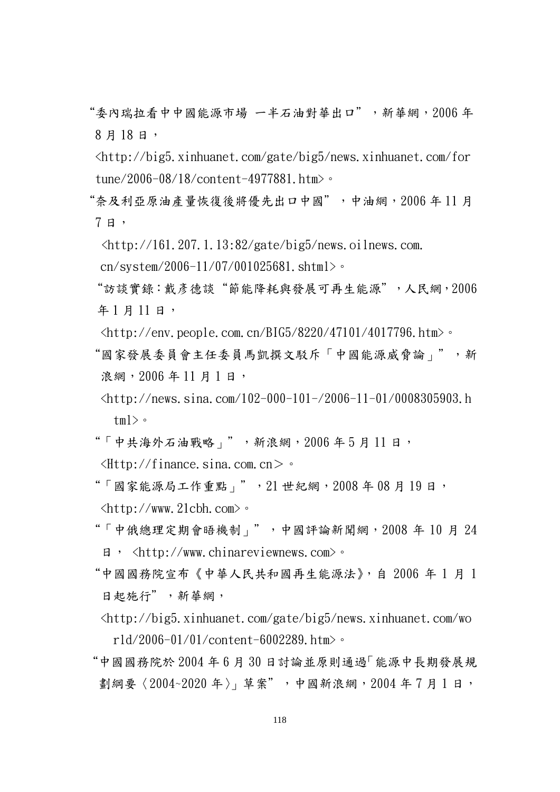- "委內瑞拉看中中國能源市場 一半石油對華出口",新華網,2006 年 8 月 18 日,
- <http://big5.xinhuanet.com/gate/big5/news.xinhuanet.com/for tune/2006-08/18/content-4977881.htm>。
- "奈及利亞原油產量恢復後將優先出口中國",中油網,2006 年 11 月 7 日,
	- $\langle$ http://161.207.1.13:82/gate/big5/news.oilnews.com.
	- cn/system/2006-11/07/001025681.shtml>。
	- "訪談實錄:戴彥德談"節能降耗與發展可再生能源",人民網,2006 年1月11日,
	- $\langle$ http://env.people.com.cn/BIG5/8220/47101/4017796.htm>。
- "國家發展委員會主任委員馬凱撰文駁斥「中國能源威脅論」",新 浪網, 2006年11月1日,
- <http://news.sina.com/102-000-101-/2006-11-01/0008305903.h tml $>$ 。
- "「中共海外石油戰略」", 新浪網,  $2006 + 5$ 月11日,  $\langle$ Http://finance.sina.com.cn>  $\circ$
- "「國家能源局工作重點」", 21 世紀網, 2008年 08 月 19 日, <http://www.21cbh.com>。
- "「中俄總理定期會晤機制」",中國評論新聞網,2008 年 10 月 24 日, <http://www.chinareviewnews.com>。
- "中國國務院宣布《中華人民共和國再生能源法》,自 2006 年 1 月 1 日起施行",新華網,
- <http://big5.xinhuanet.com/gate/big5/news.xinhuanet.com/wo rld/2006-01/01/content-6002289.htm>。
- "中國國務院於 2004 年 6 月 30 日討論並原則通過「能源中長期發展規 劃綱要〈2004~2020年〉」草案",中國新浪網,2004年7月1日,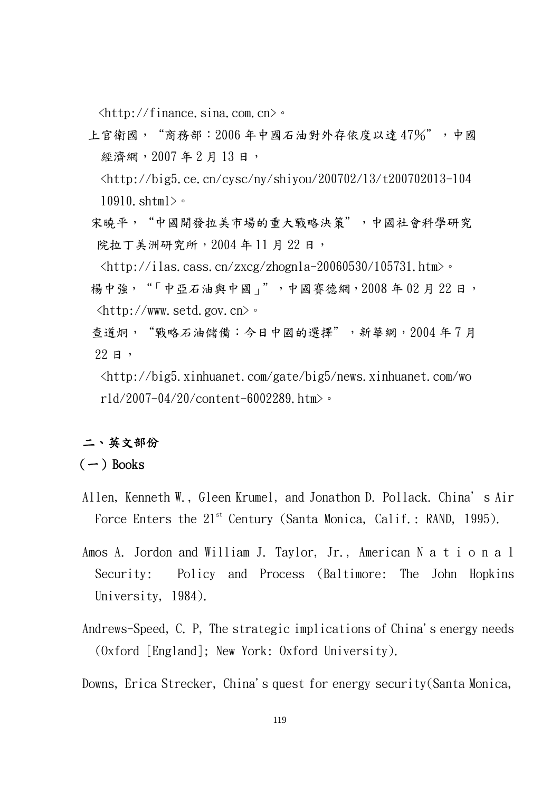$\langle$ http://finance.sina.com.cn> $\circ$ 

上官衛國, "商務部: 2006年中國石油對外存依度以達 47%",中國 經濟網, 2007年2月13日,

<http://big5.ce.cn/cysc/ny/shiyou/200702/13/t200702013-104 10910.shtml>。

宋曉平, "中國開發拉美市場的重大戰略決策",中國社會科學研究 院拉丁美洲研究所, 2004年11月22日,

 $\langle$ http://ilas.cass.cn/zxcg/zhognla-20060530/105731.htm>。 揚中強, "「中亞石油與中國」",中國賽德網,2008年02月22日,  $\langle \text{http://www.setd.gov.cn>$ 

- 查道炯, "戰略石油儲備:今日中國的選擇", 新華網, 2004年7月  $22 \text{ H}$ ,
	- <http://big5.xinhuanet.com/gate/big5/news.xinhuanet.com/wo rld/2007-04/20/content-6002289.htm>。

# 二、英文部份

## $(-)$  Books

- Allen, Kenneth W., Gleen Krumel, and Jonathon D. Pollack. China's Air Force Enters the  $21^{st}$  Century (Santa Monica, Calif.: RAND, 1995).
- Amos A. Jordon and William J. Taylor, Jr., American N a t i o n a l Security: Policy and Process (Baltimore: The John Hopkins University, 1984).
- Andrews-Speed, C. P, The strategic implications of China's energy needs (Oxford [England]; New York: Oxford University).

Downs, Erica Strecker, China's quest for energy security(Santa Monica,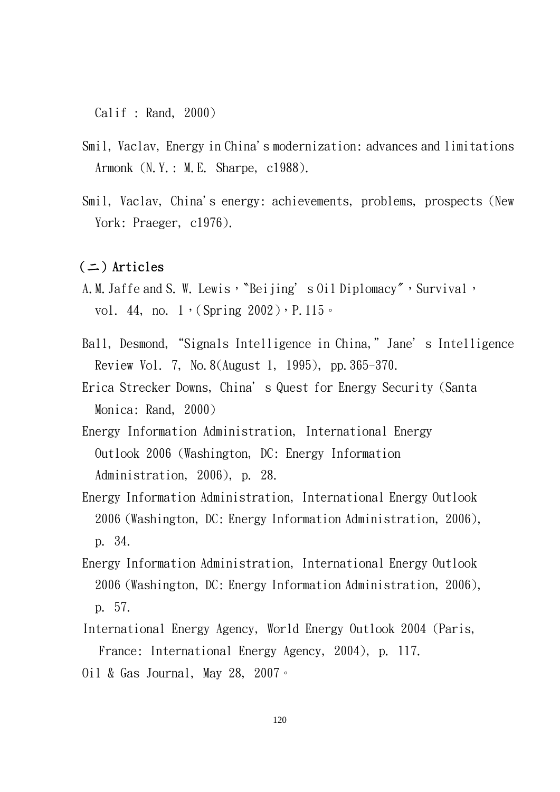Calif : Rand, 2000)

- Smil, Vaclav, Energy in China's modernization: advances and limitations Armonk (N.Y.: M.E. Sharpe, c1988).
- Smil, Vaclav, China's energy: achievements, problems, prospects (New York: Praeger, c1976).

## $($   $\equiv$   $)$  Articles

- A.M. Jaffe and S.W. Lewis, 〝Beijing's Oil Diplomacy″, Survival, vol. 44, no.  $1$ , (Spring  $2002$ ), P. 115.
- Ball, Desmond,"Signals Intelligence in China,"Jane's Intelligence Review Vol. 7, No.8(August 1, 1995), pp.365-370.
- Erica Strecker Downs, China's Quest for Energy Security (Santa Monica: Rand, 2000)
- Energy Information Administration, International Energy Outlook 2006 (Washington, DC: Energy Information Administration, 2006), p. 28.
- Energy Information Administration, International Energy Outlook 2006 (Washington, DC: Energy Information Administration, 2006), p. 34.
- Energy Information Administration, International Energy Outlook 2006 (Washington, DC: Energy Information Administration, 2006), p. 57.
- International Energy Agency, World Energy Outlook 2004 (Paris, France: International Energy Agency, 2004), p. 117.
- Oil & Gas Journal, May 28, 2007。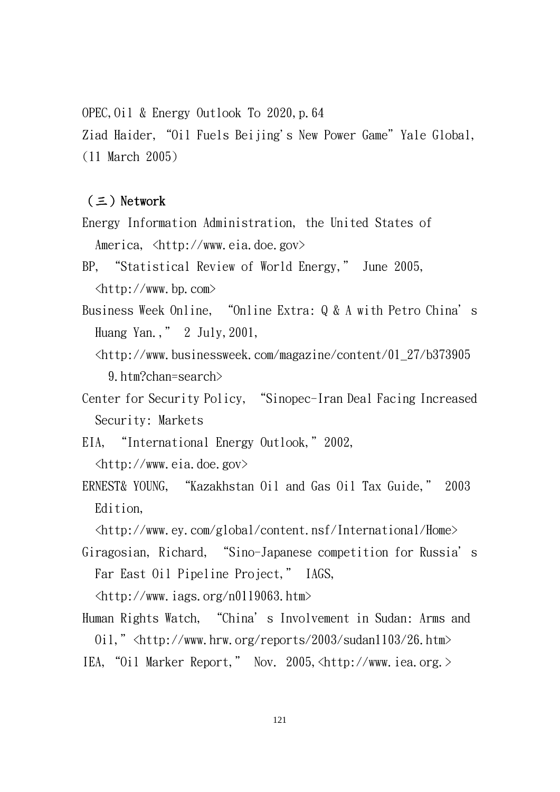OPEC,  $0$ il & Energy Outlook To 2020, p. 64 Ziad Haider, "Oil Fuels Beijing's New Power Game" Yale Global, (11 March 2005)

## $( \equiv )$  Network

- Energy Information Administration, the United States of America, <http://www.eia.doe.gov>
- BP, "Statistical Review of World Energy," June 2005, <http://www.bp.com>
- Business Week Online, "Online Extra: Q & A with Petro China's Huang Yan.," 2 July,2001,
	- <http://www.businessweek.com/magazine/content/01\_27/b373905 9.htm?chan=search>
- Center for Security Policy, "Sinopec-Iran Deal Facing Increased Security: Markets
- EIA, "International Energy Outlook,"2002, <http://www.eia.doe.gov>
- ERNEST& YOUNG, "Kazakhstan Oil and Gas Oil Tax Guide," 2003 Edition,

<http://www.ey.com/global/content.nsf/International/Home>

Giragosian, Richard, "Sino-Japanese competition for Russia's Far East Oil Pipeline Project," IAGS,

<http://www.iags.org/n0119063.htm>

Human Rights Watch, "China's Involvement in Sudan: Arms and Oil,"<http://www.hrw.org/reports/2003/sudan1103/26.htm> IEA,"Oil Marker Report," Nov. 2005,<http://www.iea.org.>